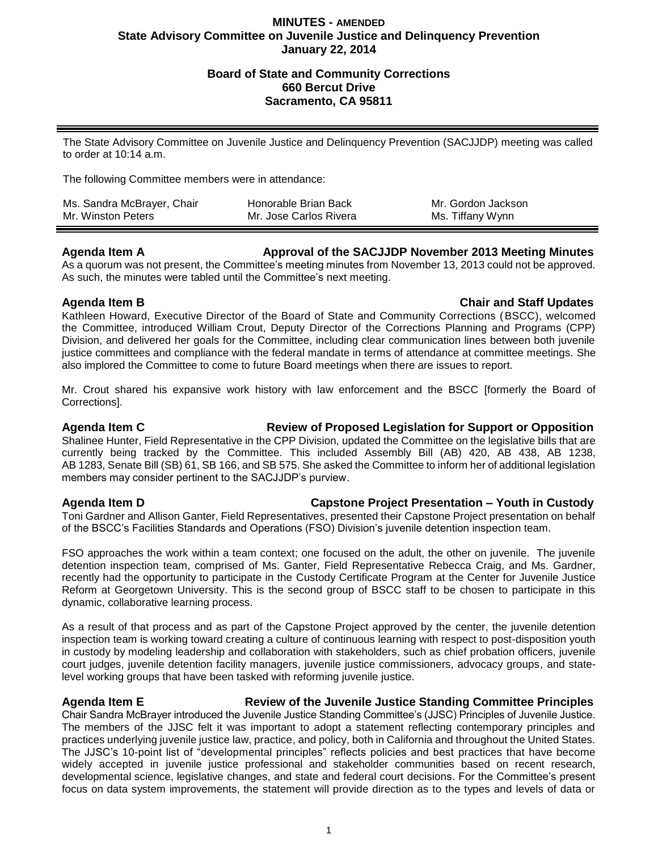## **MINUTES - AMENDED State Advisory Committee on Juvenile Justice and Delinquency Prevention January 22, 2014**

## **Board of State and Community Corrections 660 Bercut Drive Sacramento, CA 95811**

The State Advisory Committee on Juvenile Justice and Delinquency Prevention (SACJJDP) meeting was called to order at 10:14 a.m.

The following Committee members were in attendance:

| Ms. Sandra McBrayer, Chair | Honorable Brian Back   | Mr. Gordon Jackson |
|----------------------------|------------------------|--------------------|
| Mr. Winston Peters         | Mr. Jose Carlos Rivera | Ms. Tiffany Wynn   |

### **Agenda Item A Approval of the SACJJDP November 2013 Meeting Minutes**

As a quorum was not present, the Committee's meeting minutes from November 13, 2013 could not be approved. As such, the minutes were tabled until the Committee's next meeting.

### **Agenda Item B Chair and Staff Updates**

Kathleen Howard, Executive Director of the Board of State and Community Corrections (BSCC), welcomed the Committee, introduced William Crout, Deputy Director of the Corrections Planning and Programs (CPP) Division, and delivered her goals for the Committee, including clear communication lines between both juvenile justice committees and compliance with the federal mandate in terms of attendance at committee meetings. She also implored the Committee to come to future Board meetings when there are issues to report.

Mr. Crout shared his expansive work history with law enforcement and the BSCC [formerly the Board of Corrections].

## **Agenda Item C Review of Proposed Legislation for Support or Opposition**

Shalinee Hunter, Field Representative in the CPP Division, updated the Committee on the legislative bills that are currently being tracked by the Committee. This included Assembly Bill (AB) 420, AB 438, AB 1238, AB 1283, Senate Bill (SB) 61, SB 166, and SB 575. She asked the Committee to inform her of additional legislation members may consider pertinent to the SACJJDP's purview.

# **Agenda Item D Capstone Project Presentation – Youth in Custody**

Toni Gardner and Allison Ganter, Field Representatives, presented their Capstone Project presentation on behalf of the BSCC's Facilities Standards and Operations (FSO) Division's juvenile detention inspection team.

FSO approaches the work within a team context; one focused on the adult, the other on juvenile. The juvenile detention inspection team, comprised of Ms. Ganter, Field Representative Rebecca Craig, and Ms. Gardner, recently had the opportunity to participate in the Custody Certificate Program at the Center for Juvenile Justice Reform at Georgetown University. This is the second group of BSCC staff to be chosen to participate in this dynamic, collaborative learning process.

As a result of that process and as part of the Capstone Project approved by the center, the juvenile detention inspection team is working toward creating a culture of continuous learning with respect to post-disposition youth in custody by modeling leadership and collaboration with stakeholders, such as chief probation officers, juvenile court judges, juvenile detention facility managers, juvenile justice commissioners, advocacy groups, and statelevel working groups that have been tasked with reforming juvenile justice.

# **Agenda Item E Review of the Juvenile Justice Standing Committee Principles**

Chair Sandra McBrayer introduced the Juvenile Justice Standing Committee's (JJSC) Principles of Juvenile Justice. The members of the JJSC felt it was important to adopt a statement reflecting contemporary principles and practices underlying juvenile justice law, practice, and policy, both in California and throughout the United States. The JJSC's 10-point list of "developmental principles" reflects policies and best practices that have become widely accepted in juvenile justice professional and stakeholder communities based on recent research, developmental science, legislative changes, and state and federal court decisions. For the Committee's present focus on data system improvements, the statement will provide direction as to the types and levels of data or